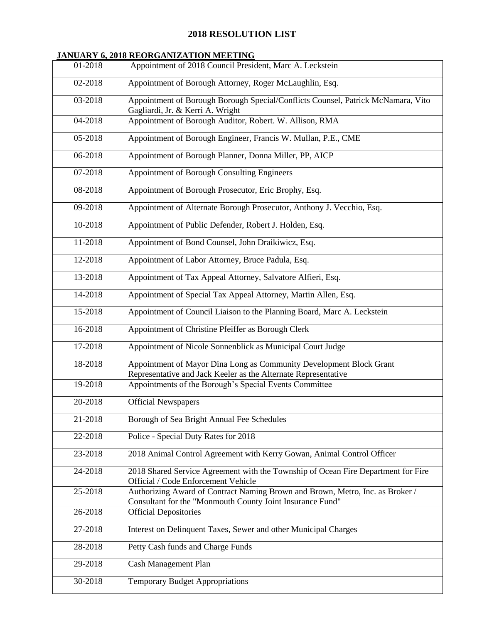#### **2018 RESOLUTION LIST**

#### **JANUARY 6, 2018 REORGANIZATION MEETING**

| 01-2018 | Appointment of 2018 Council President, Marc A. Leckstein                                                                                   |
|---------|--------------------------------------------------------------------------------------------------------------------------------------------|
| 02-2018 | Appointment of Borough Attorney, Roger McLaughlin, Esq.                                                                                    |
| 03-2018 | Appointment of Borough Borough Special/Conflicts Counsel, Patrick McNamara, Vito<br>Gagliardi, Jr. & Kerri A. Wright                       |
| 04-2018 | Appointment of Borough Auditor, Robert. W. Allison, RMA                                                                                    |
| 05-2018 | Appointment of Borough Engineer, Francis W. Mullan, P.E., CME                                                                              |
| 06-2018 | Appointment of Borough Planner, Donna Miller, PP, AICP                                                                                     |
| 07-2018 | Appointment of Borough Consulting Engineers                                                                                                |
| 08-2018 | Appointment of Borough Prosecutor, Eric Brophy, Esq.                                                                                       |
| 09-2018 | Appointment of Alternate Borough Prosecutor, Anthony J. Vecchio, Esq.                                                                      |
| 10-2018 | Appointment of Public Defender, Robert J. Holden, Esq.                                                                                     |
| 11-2018 | Appointment of Bond Counsel, John Draikiwicz, Esq.                                                                                         |
| 12-2018 | Appointment of Labor Attorney, Bruce Padula, Esq.                                                                                          |
| 13-2018 | Appointment of Tax Appeal Attorney, Salvatore Alfieri, Esq.                                                                                |
| 14-2018 | Appointment of Special Tax Appeal Attorney, Martin Allen, Esq.                                                                             |
| 15-2018 | Appointment of Council Liaison to the Planning Board, Marc A. Leckstein                                                                    |
| 16-2018 | Appointment of Christine Pfeiffer as Borough Clerk                                                                                         |
| 17-2018 | Appointment of Nicole Sonnenblick as Municipal Court Judge                                                                                 |
| 18-2018 | Appointment of Mayor Dina Long as Community Development Block Grant<br>Representative and Jack Keeler as the Alternate Representative      |
| 19-2018 | Appointments of the Borough's Special Events Committee                                                                                     |
| 20-2018 | <b>Official Newspapers</b>                                                                                                                 |
| 21-2018 | Borough of Sea Bright Annual Fee Schedules                                                                                                 |
| 22-2018 | Police - Special Duty Rates for 2018                                                                                                       |
| 23-2018 | 2018 Animal Control Agreement with Kerry Gowan, Animal Control Officer                                                                     |
| 24-2018 | 2018 Shared Service Agreement with the Township of Ocean Fire Department for Fire<br>Official / Code Enforcement Vehicle                   |
| 25-2018 | Authorizing Award of Contract Naming Brown and Brown, Metro, Inc. as Broker /<br>Consultant for the "Monmouth County Joint Insurance Fund" |
| 26-2018 | <b>Official Depositories</b>                                                                                                               |
| 27-2018 | Interest on Delinquent Taxes, Sewer and other Municipal Charges                                                                            |
| 28-2018 | Petty Cash funds and Charge Funds                                                                                                          |
| 29-2018 | <b>Cash Management Plan</b>                                                                                                                |
| 30-2018 | <b>Temporary Budget Appropriations</b>                                                                                                     |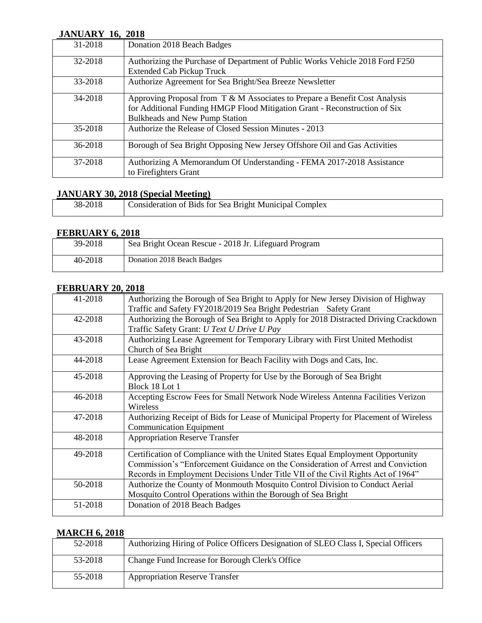#### **JANUARY 16, 2018**

| 31-2018 | Donation 2018 Beach Badges                                                    |
|---------|-------------------------------------------------------------------------------|
|         |                                                                               |
| 32-2018 | Authorizing the Purchase of Department of Public Works Vehicle 2018 Ford F250 |
|         | <b>Extended Cab Pickup Truck</b>                                              |
| 33-2018 | Authorize Agreement for Sea Bright/Sea Breeze Newsletter                      |
|         |                                                                               |
| 34-2018 | Approving Proposal from T & M Associates to Prepare a Benefit Cost Analysis   |
|         | for Additional Funding HMGP Flood Mitigation Grant - Reconstruction of Six    |
|         | Bulkheads and New Pump Station                                                |
| 35-2018 | Authorize the Release of Closed Session Minutes - 2013                        |
|         |                                                                               |
| 36-2018 | Borough of Sea Bright Opposing New Jersey Offshore Oil and Gas Activities     |
|         |                                                                               |
| 37-2018 | Authorizing A Memorandum Of Understanding - FEMA 2017-2018 Assistance         |
|         | to Firefighters Grant                                                         |
|         |                                                                               |

#### **JANUARY 30, 2018 (Special Meeting)**

| 38-2018 | Consideration of Bids for Sea Bright Municipal Complex |
|---------|--------------------------------------------------------|

## **FEBRUARY 6, 2018**

| 39-2018 | Sea Bright Ocean Rescue - 2018 Jr. Lifeguard Program |
|---------|------------------------------------------------------|
| 40-2018 | Donation 2018 Beach Badges                           |

#### **FEBRUARY 20, 2018**

| 41-2018 | Authorizing the Borough of Sea Bright to Apply for New Jersey Division of Highway     |
|---------|---------------------------------------------------------------------------------------|
|         | Traffic and Safety FY2018/2019 Sea Bright Pedestrian Safety Grant                     |
| 42-2018 | Authorizing the Borough of Sea Bright to Apply for 2018 Distracted Driving Crackdown  |
|         | Traffic Safety Grant: U Text U Drive U Pay                                            |
| 43-2018 | Authorizing Lease Agreement for Temporary Library with First United Methodist         |
|         | Church of Sea Bright                                                                  |
| 44-2018 | Lease Agreement Extension for Beach Facility with Dogs and Cats, Inc.                 |
|         |                                                                                       |
| 45-2018 | Approving the Leasing of Property for Use by the Borough of Sea Bright                |
|         | Block 18 Lot 1                                                                        |
| 46-2018 | Accepting Escrow Fees for Small Network Node Wireless Antenna Facilities Verizon      |
|         | Wireless                                                                              |
| 47-2018 | Authorizing Receipt of Bids for Lease of Municipal Property for Placement of Wireless |
|         | <b>Communication Equipment</b>                                                        |
| 48-2018 | <b>Appropriation Reserve Transfer</b>                                                 |
|         |                                                                                       |
| 49-2018 | Certification of Compliance with the United States Equal Employment Opportunity       |
|         | Commission's "Enforcement Guidance on the Consideration of Arrest and Conviction      |
|         | Records in Employment Decisions Under Title VII of the Civil Rights Act of 1964"      |
| 50-2018 | Authorize the County of Monmouth Mosquito Control Division to Conduct Aerial          |
|         | Mosquito Control Operations within the Borough of Sea Bright                          |
|         |                                                                                       |
| 51-2018 | Donation of 2018 Beach Badges                                                         |
|         |                                                                                       |

#### **MARCH 6, 2018**

| 52-2018 | Authorizing Hiring of Police Officers Designation of SLEO Class I, Special Officers |
|---------|-------------------------------------------------------------------------------------|
| 53-2018 | Change Fund Increase for Borough Clerk's Office                                     |
| 55-2018 | <b>Appropriation Reserve Transfer</b>                                               |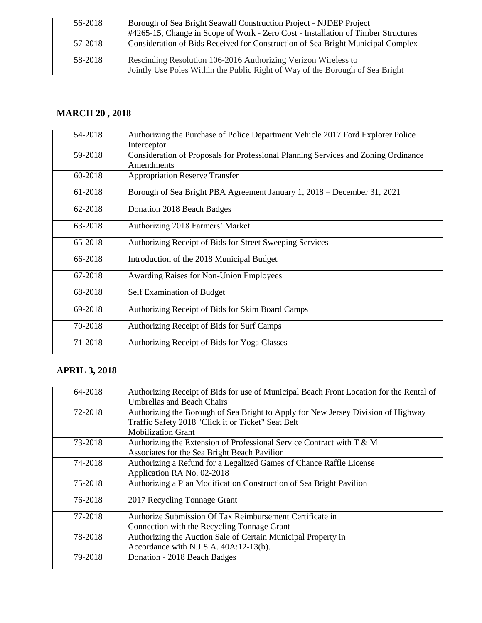| 56-2018 | Borough of Sea Bright Seawall Construction Project - NJDEP Project<br>#4265-15, Change in Scope of Work - Zero Cost - Installation of Timber Structures |
|---------|---------------------------------------------------------------------------------------------------------------------------------------------------------|
| 57-2018 | Consideration of Bids Received for Construction of Sea Bright Municipal Complex                                                                         |
| 58-2018 | Rescinding Resolution 106-2016 Authorizing Verizon Wireless to<br>Jointly Use Poles Within the Public Right of Way of the Borough of Sea Bright         |

## **MARCH 20 , 2018**

| 54-2018 | Authorizing the Purchase of Police Department Vehicle 2017 Ford Explorer Police<br>Interceptor   |
|---------|--------------------------------------------------------------------------------------------------|
| 59-2018 | Consideration of Proposals for Professional Planning Services and Zoning Ordinance<br>Amendments |
| 60-2018 | <b>Appropriation Reserve Transfer</b>                                                            |
| 61-2018 | Borough of Sea Bright PBA Agreement January 1, 2018 – December 31, 2021                          |
| 62-2018 | Donation 2018 Beach Badges                                                                       |
| 63-2018 | Authorizing 2018 Farmers' Market                                                                 |
| 65-2018 | Authorizing Receipt of Bids for Street Sweeping Services                                         |
| 66-2018 | Introduction of the 2018 Municipal Budget                                                        |
| 67-2018 | <b>Awarding Raises for Non-Union Employees</b>                                                   |
| 68-2018 | Self Examination of Budget                                                                       |
| 69-2018 | Authorizing Receipt of Bids for Skim Board Camps                                                 |
| 70-2018 | Authorizing Receipt of Bids for Surf Camps                                                       |
| 71-2018 | Authorizing Receipt of Bids for Yoga Classes                                                     |

# **APRIL 3, 2018**

| 64-2018 | Authorizing Receipt of Bids for use of Municipal Beach Front Location for the Rental of |
|---------|-----------------------------------------------------------------------------------------|
|         | <b>Umbrellas and Beach Chairs</b>                                                       |
| 72-2018 | Authorizing the Borough of Sea Bright to Apply for New Jersey Division of Highway       |
|         | Traffic Safety 2018 "Click it or Ticket" Seat Belt                                      |
|         | <b>Mobilization Grant</b>                                                               |
| 73-2018 | Authorizing the Extension of Professional Service Contract with T & M                   |
|         | Associates for the Sea Bright Beach Pavilion                                            |
| 74-2018 | Authorizing a Refund for a Legalized Games of Chance Raffle License                     |
|         | Application RA No. 02-2018                                                              |
| 75-2018 | Authorizing a Plan Modification Construction of Sea Bright Pavilion                     |
| 76-2018 | 2017 Recycling Tonnage Grant                                                            |
| 77-2018 | Authorize Submission Of Tax Reimbursement Certificate in                                |
|         | Connection with the Recycling Tonnage Grant                                             |
| 78-2018 | Authorizing the Auction Sale of Certain Municipal Property in                           |
|         | Accordance with N.J.S.A. 40A:12-13(b).                                                  |
| 79-2018 | Donation - 2018 Beach Badges                                                            |
|         |                                                                                         |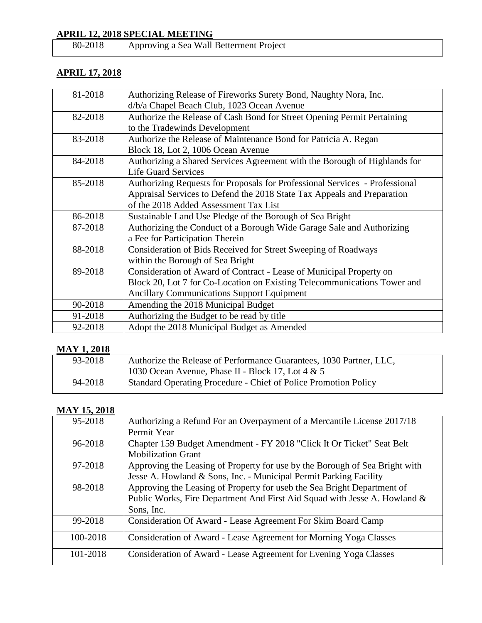# **APRIL 12, 2018 SPECIAL MEETING**<br>80-2018 Approving a Sea Wall

Approving a Sea Wall Betterment Project

#### **APRIL 17, 2018**

| 81-2018 | Authorizing Release of Fireworks Surety Bond, Naughty Nora, Inc.            |
|---------|-----------------------------------------------------------------------------|
|         |                                                                             |
|         | d/b/a Chapel Beach Club, 1023 Ocean Avenue                                  |
| 82-2018 | Authorize the Release of Cash Bond for Street Opening Permit Pertaining     |
|         | to the Tradewinds Development                                               |
| 83-2018 | Authorize the Release of Maintenance Bond for Patricia A. Regan             |
|         | Block 18, Lot 2, 1006 Ocean Avenue                                          |
| 84-2018 | Authorizing a Shared Services Agreement with the Borough of Highlands for   |
|         | <b>Life Guard Services</b>                                                  |
| 85-2018 | Authorizing Requests for Proposals for Professional Services - Professional |
|         | Appraisal Services to Defend the 2018 State Tax Appeals and Preparation     |
|         | of the 2018 Added Assessment Tax List                                       |
| 86-2018 | Sustainable Land Use Pledge of the Borough of Sea Bright                    |
| 87-2018 | Authorizing the Conduct of a Borough Wide Garage Sale and Authorizing       |
|         | a Fee for Participation Therein                                             |
| 88-2018 | Consideration of Bids Received for Street Sweeping of Roadways              |
|         | within the Borough of Sea Bright                                            |
| 89-2018 | Consideration of Award of Contract - Lease of Municipal Property on         |
|         | Block 20, Lot 7 for Co-Location on Existing Telecommunications Tower and    |
|         | <b>Ancillary Communications Support Equipment</b>                           |
| 90-2018 | Amending the 2018 Municipal Budget                                          |
| 91-2018 | Authorizing the Budget to be read by title                                  |
| 92-2018 | Adopt the 2018 Municipal Budget as Amended                                  |

## **MAY 1, 2018**

| 93-2018 | Authorize the Release of Performance Guarantees, 1030 Partner, LLC, |
|---------|---------------------------------------------------------------------|
|         | 1030 Ocean Avenue, Phase II - Block 17, Lot $4 \& 5$                |
| 94-2018 | Standard Operating Procedure - Chief of Police Promotion Policy     |

# **MAY 15, 2018**

| 95-2018  | Authorizing a Refund For an Overpayment of a Mercantile License 2017/18     |
|----------|-----------------------------------------------------------------------------|
|          | Permit Year                                                                 |
| 96-2018  | Chapter 159 Budget Amendment - FY 2018 "Click It Or Ticket" Seat Belt       |
|          | <b>Mobilization Grant</b>                                                   |
| 97-2018  | Approving the Leasing of Property for use by the Borough of Sea Bright with |
|          | Jesse A. Howland & Sons, Inc. - Municipal Permit Parking Facility           |
| 98-2018  | Approving the Leasing of Property for useb the Sea Bright Department of     |
|          | Public Works, Fire Department And First Aid Squad with Jesse A. Howland &   |
|          | Sons, Inc.                                                                  |
| 99-2018  | Consideration Of Award - Lease Agreement For Skim Board Camp                |
| 100-2018 | Consideration of Award - Lease Agreement for Morning Yoga Classes           |
| 101-2018 | Consideration of Award - Lease Agreement for Evening Yoga Classes           |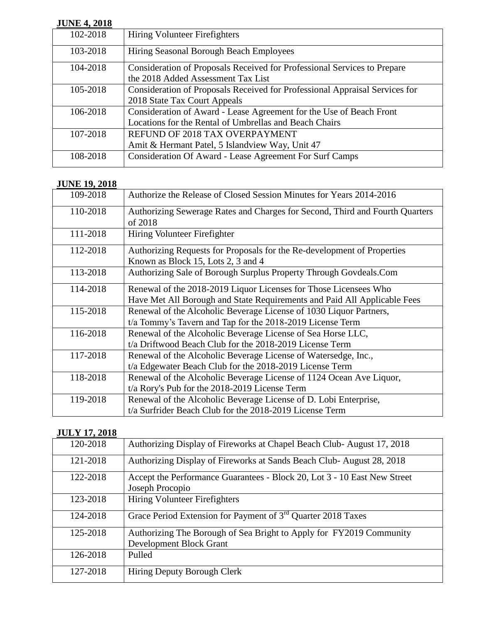## **JUNE 4, 2018**

| $J$ une 7, $2010$ |                                                                             |
|-------------------|-----------------------------------------------------------------------------|
| 102-2018          | Hiring Volunteer Firefighters                                               |
| 103-2018          | Hiring Seasonal Borough Beach Employees                                     |
| 104-2018          | Consideration of Proposals Received for Professional Services to Prepare    |
|                   | the 2018 Added Assessment Tax List                                          |
| 105-2018          | Consideration of Proposals Received for Professional Appraisal Services for |
|                   | 2018 State Tax Court Appeals                                                |
| 106-2018          | Consideration of Award - Lease Agreement for the Use of Beach Front         |
|                   | Locations for the Rental of Umbrellas and Beach Chairs                      |
| 107-2018          | REFUND OF 2018 TAX OVERPAYMENT                                              |
|                   | Amit & Hermant Patel, 5 Islandview Way, Unit 47                             |
| 108-2018          | Consideration Of Award - Lease Agreement For Surf Camps                     |
|                   |                                                                             |

#### **JUNE 19, 2018**

| 109-2018 | Authorize the Release of Closed Session Minutes for Years 2014-2016                                                                          |
|----------|----------------------------------------------------------------------------------------------------------------------------------------------|
| 110-2018 | Authorizing Sewerage Rates and Charges for Second, Third and Fourth Quarters<br>of 2018                                                      |
| 111-2018 | Hiring Volunteer Firefighter                                                                                                                 |
| 112-2018 | Authorizing Requests for Proposals for the Re-development of Properties<br>Known as Block 15, Lots 2, 3 and 4                                |
| 113-2018 | Authorizing Sale of Borough Surplus Property Through Govdeals.Com                                                                            |
| 114-2018 | Renewal of the 2018-2019 Liquor Licenses for Those Licensees Who<br>Have Met All Borough and State Requirements and Paid All Applicable Fees |
| 115-2018 | Renewal of the Alcoholic Beverage License of 1030 Liquor Partners,<br>t/a Tommy's Tavern and Tap for the 2018-2019 License Term              |
| 116-2018 | Renewal of the Alcoholic Beverage License of Sea Horse LLC,<br>t/a Driftwood Beach Club for the 2018-2019 License Term                       |
| 117-2018 | Renewal of the Alcoholic Beverage License of Watersedge, Inc.,<br>t/a Edgewater Beach Club for the 2018-2019 License Term                    |
| 118-2018 | Renewal of the Alcoholic Beverage License of 1124 Ocean Ave Liquor,<br>t/a Rory's Pub for the 2018-2019 License Term                         |
| 119-2018 | Renewal of the Alcoholic Beverage License of D. Lobi Enterprise,<br>t/a Surfrider Beach Club for the 2018-2019 License Term                  |

# **JULY 17, 2018**

| 120-2018 | Authorizing Display of Fireworks at Chapel Beach Club-August 17, 2018                          |
|----------|------------------------------------------------------------------------------------------------|
| 121-2018 | Authorizing Display of Fireworks at Sands Beach Club-August 28, 2018                           |
| 122-2018 | Accept the Performance Guarantees - Block 20, Lot 3 - 10 East New Street<br>Joseph Procopio    |
| 123-2018 | <b>Hiring Volunteer Firefighters</b>                                                           |
| 124-2018 | Grace Period Extension for Payment of 3 <sup>rd</sup> Quarter 2018 Taxes                       |
| 125-2018 | Authorizing The Borough of Sea Bright to Apply for FY2019 Community<br>Development Block Grant |
| 126-2018 | Pulled                                                                                         |
| 127-2018 | Hiring Deputy Borough Clerk                                                                    |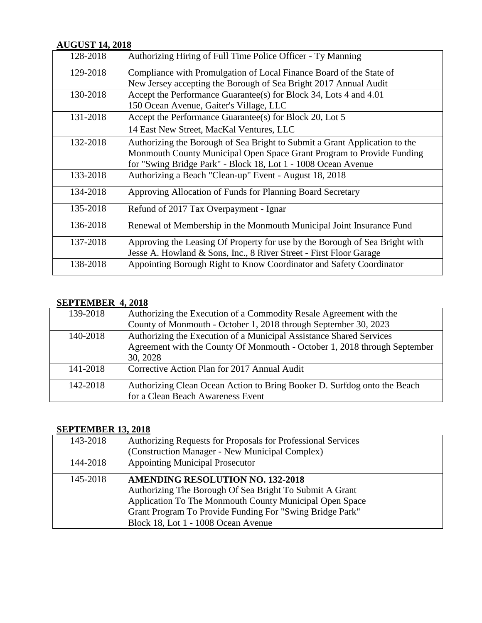#### **AUGUST 14, 2018**

| 128-2018 | Authorizing Hiring of Full Time Police Officer - Ty Manning                 |
|----------|-----------------------------------------------------------------------------|
| 129-2018 | Compliance with Promulgation of Local Finance Board of the State of         |
|          | New Jersey accepting the Borough of Sea Bright 2017 Annual Audit            |
| 130-2018 | Accept the Performance Guarantee(s) for Block 34, Lots 4 and 4.01           |
|          | 150 Ocean Avenue, Gaiter's Village, LLC                                     |
| 131-2018 | Accept the Performance Guarantee(s) for Block 20, Lot 5                     |
|          | 14 East New Street, MacKal Ventures, LLC                                    |
| 132-2018 | Authorizing the Borough of Sea Bright to Submit a Grant Application to the  |
|          | Monmouth County Municipal Open Space Grant Program to Provide Funding       |
|          | for "Swing Bridge Park" - Block 18, Lot 1 - 1008 Ocean Avenue               |
| 133-2018 | Authorizing a Beach "Clean-up" Event - August 18, 2018                      |
| 134-2018 | Approving Allocation of Funds for Planning Board Secretary                  |
| 135-2018 | Refund of 2017 Tax Overpayment - Ignar                                      |
| 136-2018 | Renewal of Membership in the Monmouth Municipal Joint Insurance Fund        |
| 137-2018 | Approving the Leasing Of Property for use by the Borough of Sea Bright with |
|          | Jesse A. Howland & Sons, Inc., 8 River Street - First Floor Garage          |
| 138-2018 | Appointing Borough Right to Know Coordinator and Safety Coordinator         |
|          |                                                                             |

#### **SEPTEMBER 4, 2018**

| 139-2018 | Authorizing the Execution of a Commodity Resale Agreement with the        |
|----------|---------------------------------------------------------------------------|
|          | County of Monmouth - October 1, 2018 through September 30, 2023           |
| 140-2018 | Authorizing the Execution of a Municipal Assistance Shared Services       |
|          | Agreement with the County Of Monmouth - October 1, 2018 through September |
|          | 30, 2028                                                                  |
| 141-2018 | Corrective Action Plan for 2017 Annual Audit                              |
| 142-2018 | Authorizing Clean Ocean Action to Bring Booker D. Surfdog onto the Beach  |
|          | for a Clean Beach Awareness Event                                         |

#### **SEPTEMBER 13, 2018**

| 143-2018 | Authorizing Requests for Proposals for Professional Services |
|----------|--------------------------------------------------------------|
|          | (Construction Manager - New Municipal Complex)               |
| 144-2018 | <b>Appointing Municipal Prosecutor</b>                       |
| 145-2018 | <b>AMENDING RESOLUTION NO. 132-2018</b>                      |
|          | Authorizing The Borough Of Sea Bright To Submit A Grant      |
|          | Application To The Monmouth County Municipal Open Space      |
|          | Grant Program To Provide Funding For "Swing Bridge Park"     |
|          | Block 18, Lot 1 - 1008 Ocean Avenue                          |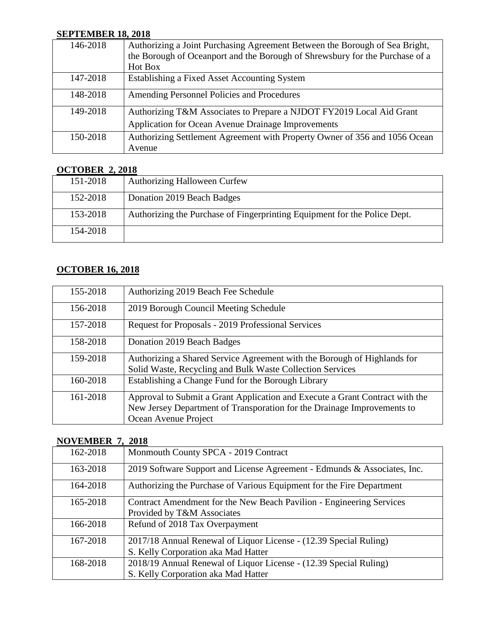#### **SEPTEMBER 18, 2018**

| 146-2018 | Authorizing a Joint Purchasing Agreement Between the Borough of Sea Bright,  |
|----------|------------------------------------------------------------------------------|
|          | the Borough of Oceanport and the Borough of Shrewsbury for the Purchase of a |
|          | Hot Box                                                                      |
| 147-2018 | Establishing a Fixed Asset Accounting System                                 |
| 148-2018 | Amending Personnel Policies and Procedures                                   |
| 149-2018 | Authorizing T&M Associates to Prepare a NJDOT FY2019 Local Aid Grant         |
|          | <b>Application for Ocean Avenue Drainage Improvements</b>                    |
| 150-2018 | Authorizing Settlement Agreement with Property Owner of 356 and 1056 Ocean   |
|          | Avenue                                                                       |

#### **OCTOBER 2, 2018**

| 151-2018 | <b>Authorizing Halloween Curfew</b>                                       |
|----------|---------------------------------------------------------------------------|
| 152-2018 | Donation 2019 Beach Badges                                                |
| 153-2018 | Authorizing the Purchase of Fingerprinting Equipment for the Police Dept. |
| 154-2018 |                                                                           |

## **OCTOBER 16, 2018**

| 155-2018 | Authorizing 2019 Beach Fee Schedule                                                                                                                                             |
|----------|---------------------------------------------------------------------------------------------------------------------------------------------------------------------------------|
| 156-2018 | 2019 Borough Council Meeting Schedule                                                                                                                                           |
| 157-2018 | Request for Proposals - 2019 Professional Services                                                                                                                              |
| 158-2018 | Donation 2019 Beach Badges                                                                                                                                                      |
| 159-2018 | Authorizing a Shared Service Agreement with the Borough of Highlands for<br>Solid Waste, Recycling and Bulk Waste Collection Services                                           |
| 160-2018 | Establishing a Change Fund for the Borough Library                                                                                                                              |
| 161-2018 | Approval to Submit a Grant Application and Execute a Grant Contract with the<br>New Jersey Department of Transporation for the Drainage Improvements to<br>Ocean Avenue Project |

#### **NOVEMBER 7, 2018**

| 162-2018 | Monmouth County SPCA - 2019 Contract                                     |
|----------|--------------------------------------------------------------------------|
| 163-2018 | 2019 Software Support and License Agreement - Edmunds & Associates, Inc. |
| 164-2018 | Authorizing the Purchase of Various Equipment for the Fire Department    |
| 165-2018 | Contract Amendment for the New Beach Pavilion - Engineering Services     |
|          | Provided by T&M Associates                                               |
| 166-2018 | Refund of 2018 Tax Overpayment                                           |
| 167-2018 | 2017/18 Annual Renewal of Liquor License - (12.39 Special Ruling)        |
|          | S. Kelly Corporation aka Mad Hatter                                      |
| 168-2018 | 2018/19 Annual Renewal of Liquor License - (12.39 Special Ruling)        |
|          | S. Kelly Corporation aka Mad Hatter                                      |